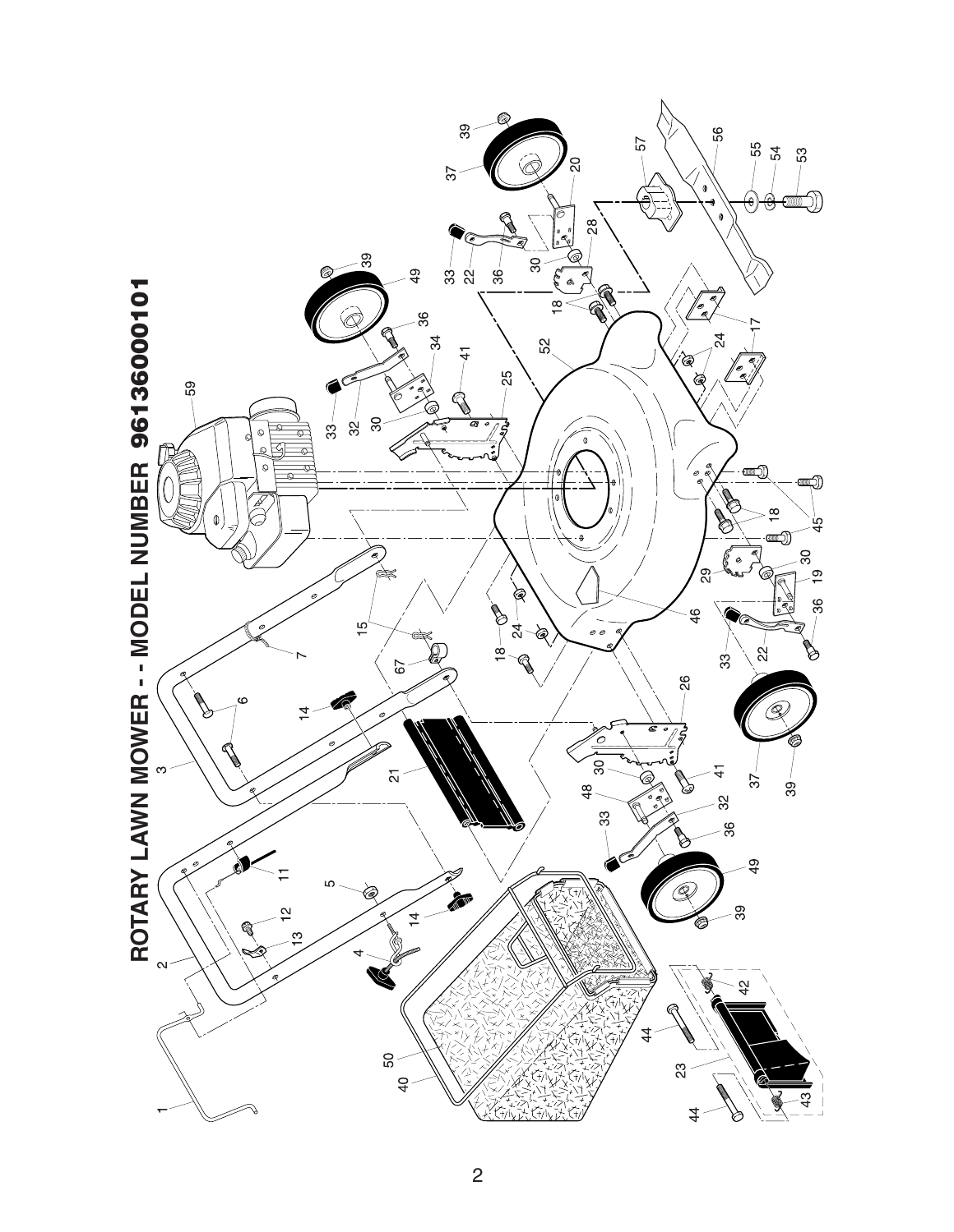